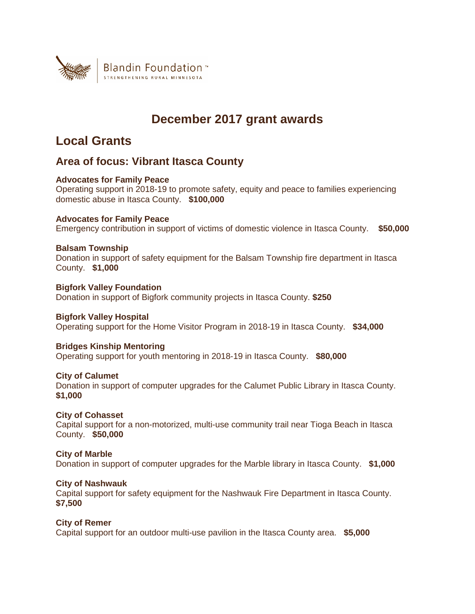

# **December 2017 grant awards**

# **Local Grants**

# **Area of focus: Vibrant Itasca County**

## **Advocates for Family Peace**

Operating support in 2018-19 to promote safety, equity and peace to families experiencing domestic abuse in Itasca County. **\$100,000**

## **Advocates for Family Peace**

Emergency contribution in support of victims of domestic violence in Itasca County. **\$50,000**

## **Balsam Township**

Donation in support of safety equipment for the Balsam Township fire department in Itasca County. **\$1,000**

**Bigfork Valley Foundation** Donation in support of Bigfork community projects in Itasca County. **\$250**

## **Bigfork Valley Hospital**

Operating support for the Home Visitor Program in 2018-19 in Itasca County. **\$34,000**

## **Bridges Kinship Mentoring**

Operating support for youth mentoring in 2018-19 in Itasca County. **\$80,000**

## **City of Calumet**

Donation in support of computer upgrades for the Calumet Public Library in Itasca County. **\$1,000**

## **City of Cohasset**

Capital support for a non-motorized, multi-use community trail near Tioga Beach in Itasca County. **\$50,000**

## **City of Marble**

Donation in support of computer upgrades for the Marble library in Itasca County. **\$1,000**

## **City of Nashwauk**

Capital support for safety equipment for the Nashwauk Fire Department in Itasca County. **\$7,500**

## **City of Remer**

Capital support for an outdoor multi-use pavilion in the Itasca County area. **\$5,000**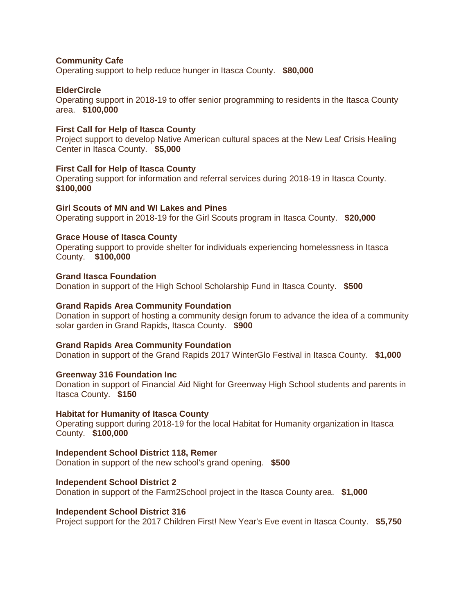#### **Community Cafe**

Operating support to help reduce hunger in Itasca County. **\$80,000**

#### **ElderCircle**

Operating support in 2018-19 to offer senior programming to residents in the Itasca County area. **\$100,000**

#### **First Call for Help of Itasca County**

Project support to develop Native American cultural spaces at the New Leaf Crisis Healing Center in Itasca County. **\$5,000**

#### **First Call for Help of Itasca County**

Operating support for information and referral services during 2018-19 in Itasca County. **\$100,000**

#### **Girl Scouts of MN and WI Lakes and Pines**

Operating support in 2018-19 for the Girl Scouts program in Itasca County. **\$20,000**

#### **Grace House of Itasca County**

Operating support to provide shelter for individuals experiencing homelessness in Itasca County. **\$100,000**

#### **Grand Itasca Foundation**

Donation in support of the High School Scholarship Fund in Itasca County. **\$500**

#### **Grand Rapids Area Community Foundation**

Donation in support of hosting a community design forum to advance the idea of a community solar garden in Grand Rapids, Itasca County. **\$900**

#### **Grand Rapids Area Community Foundation**

Donation in support of the Grand Rapids 2017 WinterGlo Festival in Itasca County. **\$1,000**

#### **Greenway 316 Foundation Inc**

Donation in support of Financial Aid Night for Greenway High School students and parents in Itasca County. **\$150**

#### **Habitat for Humanity of Itasca County**

Operating support during 2018-19 for the local Habitat for Humanity organization in Itasca County. **\$100,000**

#### **Independent School District 118, Remer**

Donation in support of the new school's grand opening. **\$500**

#### **Independent School District 2**

Donation in support of the Farm2School project in the Itasca County area. **\$1,000**

#### **Independent School District 316**

Project support for the 2017 Children First! New Year's Eve event in Itasca County. **\$5,750**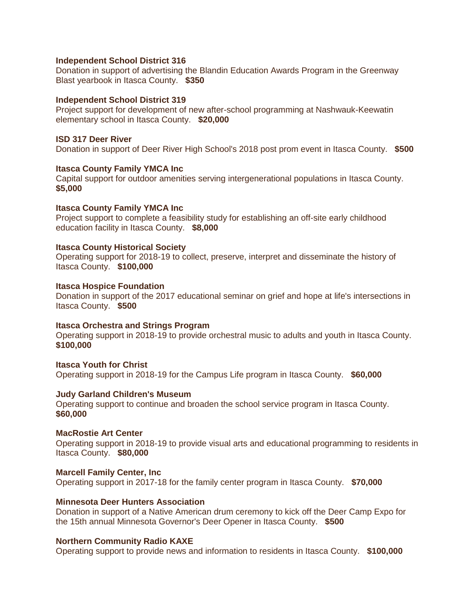#### **Independent School District 316**

Donation in support of advertising the Blandin Education Awards Program in the Greenway Blast yearbook in Itasca County. **\$350**

#### **Independent School District 319**

Project support for development of new after-school programming at Nashwauk-Keewatin elementary school in Itasca County. **\$20,000**

#### **ISD 317 Deer River**

Donation in support of Deer River High School's 2018 post prom event in Itasca County. **\$500**

#### **Itasca County Family YMCA Inc**

Capital support for outdoor amenities serving intergenerational populations in Itasca County. **\$5,000**

#### **Itasca County Family YMCA Inc**

Project support to complete a feasibility study for establishing an off-site early childhood education facility in Itasca County. **\$8,000**

#### **Itasca County Historical Society**

Operating support for 2018-19 to collect, preserve, interpret and disseminate the history of Itasca County. **\$100,000**

#### **Itasca Hospice Foundation**

Donation in support of the 2017 educational seminar on grief and hope at life's intersections in Itasca County. **\$500**

#### **Itasca Orchestra and Strings Program**

Operating support in 2018-19 to provide orchestral music to adults and youth in Itasca County. **\$100,000**

#### **Itasca Youth for Christ**

Operating support in 2018-19 for the Campus Life program in Itasca County. **\$60,000**

#### **Judy Garland Children's Museum**

Operating support to continue and broaden the school service program in Itasca County. **\$60,000**

#### **MacRostie Art Center**

Operating support in 2018-19 to provide visual arts and educational programming to residents in Itasca County. **\$80,000**

#### **Marcell Family Center, Inc**

Operating support in 2017-18 for the family center program in Itasca County. **\$70,000**

#### **Minnesota Deer Hunters Association**

Donation in support of a Native American drum ceremony to kick off the Deer Camp Expo for the 15th annual Minnesota Governor's Deer Opener in Itasca County. **\$500**

#### **Northern Community Radio KAXE**

Operating support to provide news and information to residents in Itasca County. **\$100,000**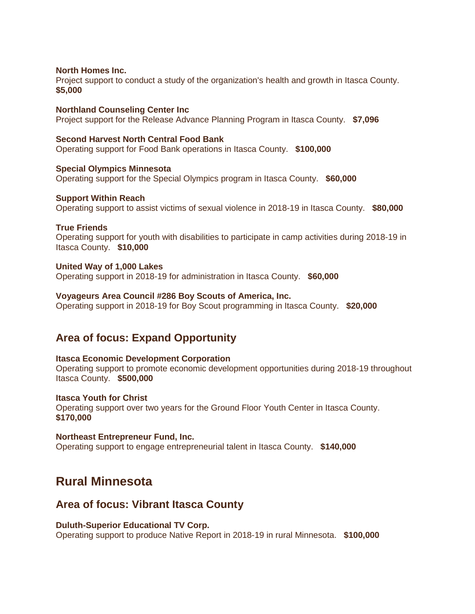#### **North Homes Inc.**

Project support to conduct a study of the organization's health and growth in Itasca County. **\$5,000**

### **Northland Counseling Center Inc**

Project support for the Release Advance Planning Program in Itasca County. **\$7,096**

#### **Second Harvest North Central Food Bank**

Operating support for Food Bank operations in Itasca County. **\$100,000**

**Special Olympics Minnesota** Operating support for the Special Olympics program in Itasca County. **\$60,000**

#### **Support Within Reach**

Operating support to assist victims of sexual violence in 2018-19 in Itasca County. **\$80,000**

#### **True Friends**

Operating support for youth with disabilities to participate in camp activities during 2018-19 in Itasca County. **\$10,000**

#### **United Way of 1,000 Lakes**

Operating support in 2018-19 for administration in Itasca County. **\$60,000**

#### **Voyageurs Area Council #286 Boy Scouts of America, Inc.**

Operating support in 2018-19 for Boy Scout programming in Itasca County. **\$20,000**

## **Area of focus: Expand Opportunity**

#### **Itasca Economic Development Corporation**

Operating support to promote economic development opportunities during 2018-19 throughout Itasca County. **\$500,000**

#### **Itasca Youth for Christ**

Operating support over two years for the Ground Floor Youth Center in Itasca County. **\$170,000**

#### **Northeast Entrepreneur Fund, Inc.**

Operating support to engage entrepreneurial talent in Itasca County. **\$140,000**

# **Rural Minnesota**

## **Area of focus: Vibrant Itasca County**

#### **Duluth-Superior Educational TV Corp.**

Operating support to produce Native Report in 2018-19 in rural Minnesota. **\$100,000**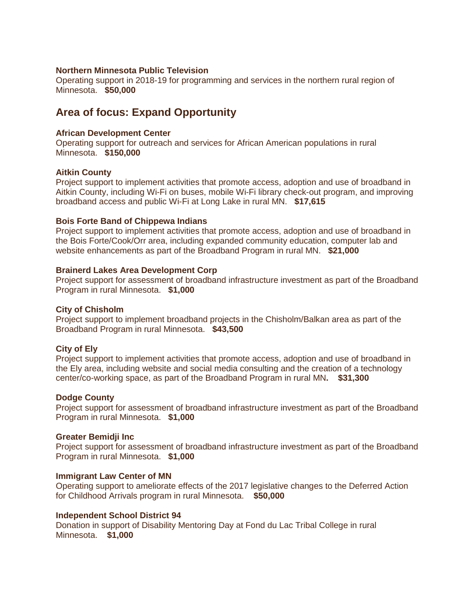#### **Northern Minnesota Public Television**

Operating support in 2018-19 for programming and services in the northern rural region of Minnesota. **\$50,000**

# **Area of focus: Expand Opportunity**

#### **African Development Center**

Operating support for outreach and services for African American populations in rural Minnesota. **\$150,000**

#### **Aitkin County**

Project support to implement activities that promote access, adoption and use of broadband in Aitkin County, including Wi-Fi on buses, mobile Wi-Fi library check-out program, and improving broadband access and public Wi-Fi at Long Lake in rural MN. **\$17,615**

#### **Bois Forte Band of Chippewa Indians**

Project support to implement activities that promote access, adoption and use of broadband in the Bois Forte/Cook/Orr area, including expanded community education, computer lab and website enhancements as part of the Broadband Program in rural MN. **\$21,000**

#### **Brainerd Lakes Area Development Corp**

Project support for assessment of broadband infrastructure investment as part of the Broadband Program in rural Minnesota. **\$1,000**

#### **City of Chisholm**

Project support to implement broadband projects in the Chisholm/Balkan area as part of the Broadband Program in rural Minnesota. **\$43,500**

#### **City of Ely**

Project support to implement activities that promote access, adoption and use of broadband in the Ely area, including website and social media consulting and the creation of a technology center/co-working space, as part of the Broadband Program in rural MN**. \$31,300**

### **Dodge County**

Project support for assessment of broadband infrastructure investment as part of the Broadband Program in rural Minnesota. **\$1,000**

#### **Greater Bemidji Inc**

Project support for assessment of broadband infrastructure investment as part of the Broadband Program in rural Minnesota. **\$1,000**

#### **Immigrant Law Center of MN**

Operating support to ameliorate effects of the 2017 legislative changes to the Deferred Action for Childhood Arrivals program in rural Minnesota. **\$50,000**

#### **Independent School District 94**

Donation in support of Disability Mentoring Day at Fond du Lac Tribal College in rural Minnesota. **\$1,000**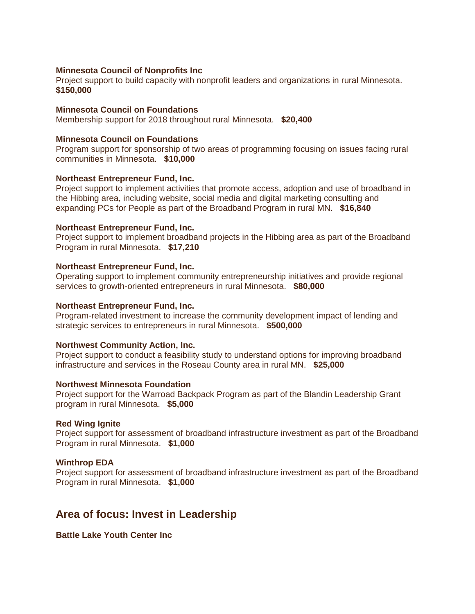#### **Minnesota Council of Nonprofits Inc**

Project support to build capacity with nonprofit leaders and organizations in rural Minnesota. **\$150,000**

#### **Minnesota Council on Foundations**

Membership support for 2018 throughout rural Minnesota. **\$20,400**

#### **Minnesota Council on Foundations**

Program support for sponsorship of two areas of programming focusing on issues facing rural communities in Minnesota. **\$10,000**

#### **Northeast Entrepreneur Fund, Inc.**

Project support to implement activities that promote access, adoption and use of broadband in the Hibbing area, including website, social media and digital marketing consulting and expanding PCs for People as part of the Broadband Program in rural MN. **\$16,840**

#### **Northeast Entrepreneur Fund, Inc.**

Project support to implement broadband projects in the Hibbing area as part of the Broadband Program in rural Minnesota. **\$17,210**

#### **Northeast Entrepreneur Fund, Inc.**

Operating support to implement community entrepreneurship initiatives and provide regional services to growth-oriented entrepreneurs in rural Minnesota. **\$80,000**

#### **Northeast Entrepreneur Fund, Inc.**

Program-related investment to increase the community development impact of lending and strategic services to entrepreneurs in rural Minnesota. **\$500,000**

#### **Northwest Community Action, Inc.**

Project support to conduct a feasibility study to understand options for improving broadband infrastructure and services in the Roseau County area in rural MN. **\$25,000**

#### **Northwest Minnesota Foundation**

Project support for the Warroad Backpack Program as part of the Blandin Leadership Grant program in rural Minnesota. **\$5,000**

#### **Red Wing Ignite**

Project support for assessment of broadband infrastructure investment as part of the Broadband Program in rural Minnesota. **\$1,000**

#### **Winthrop EDA**

Project support for assessment of broadband infrastructure investment as part of the Broadband Program in rural Minnesota. **\$1,000**

## **Area of focus: Invest in Leadership**

**Battle Lake Youth Center Inc**